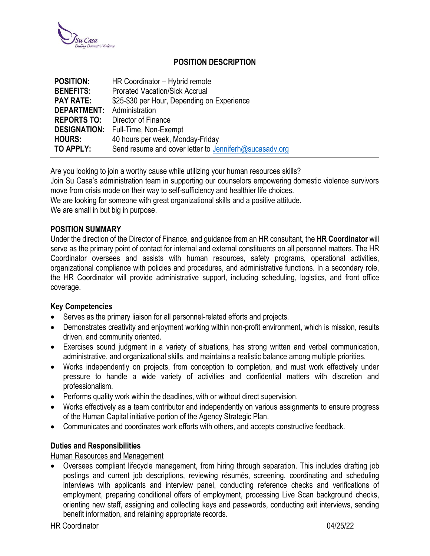

## **POSITION DESCRIPTION**

| <b>POSITION:</b>                  | HR Coordinator - Hybrid remote                         |
|-----------------------------------|--------------------------------------------------------|
| <b>BENEFITS:</b>                  | <b>Prorated Vacation/Sick Accrual</b>                  |
| <b>PAY RATE:</b>                  | \$25-\$30 per Hour, Depending on Experience            |
| <b>DEPARTMENT:</b> Administration |                                                        |
| <b>REPORTS TO:</b>                | Director of Finance                                    |
| <b>DESIGNATION:</b>               | Full-Time, Non-Exempt                                  |
| <b>HOURS:</b>                     | 40 hours per week, Monday-Friday                       |
| TO APPLY:                         | Send resume and cover letter to Jenniferh@sucasadv.org |

Are you looking to join a worthy cause while utilizing your human resources skills?

Join Su Casa's administration team in supporting our counselors empowering domestic violence survivors move from crisis mode on their way to self-sufficiency and healthier life choices.

We are looking for someone with great organizational skills and a positive attitude. We are small in but big in purpose.

### **POSITION SUMMARY**

Under the direction of the Director of Finance, and guidance from an HR consultant, the **HR Coordinator** will serve as the primary point of contact for internal and external constituents on all personnel matters. The HR Coordinator oversees and assists with human resources, safety programs, operational activities, organizational compliance with policies and procedures, and administrative functions. In a secondary role, the HR Coordinator will provide administrative support, including scheduling, logistics, and front office coverage.

### **Key Competencies**

- Serves as the primary liaison for all personnel-related efforts and projects.
- Demonstrates creativity and enjoyment working within non-profit environment, which is mission, results driven, and community oriented.
- Exercises sound judgment in a variety of situations, has strong written and verbal communication, administrative, and organizational skills, and maintains a realistic balance among multiple priorities.
- Works independently on projects, from conception to completion, and must work effectively under pressure to handle a wide variety of activities and confidential matters with discretion and professionalism.
- Performs quality work within the deadlines, with or without direct supervision.
- Works effectively as a team contributor and independently on various assignments to ensure progress of the Human Capital initiative portion of the Agency Strategic Plan.
- Communicates and coordinates work efforts with others, and accepts constructive feedback.

## **Duties and Responsibilities**

### Human Resources and Management

 Oversees compliant lifecycle management, from hiring through separation. This includes drafting job postings and current job descriptions, reviewing résumés, screening, coordinating and scheduling interviews with applicants and interview panel, conducting reference checks and verifications of employment, preparing conditional offers of employment, processing Live Scan background checks, orienting new staff, assigning and collecting keys and passwords, conducting exit interviews, sending benefit information, and retaining appropriate records.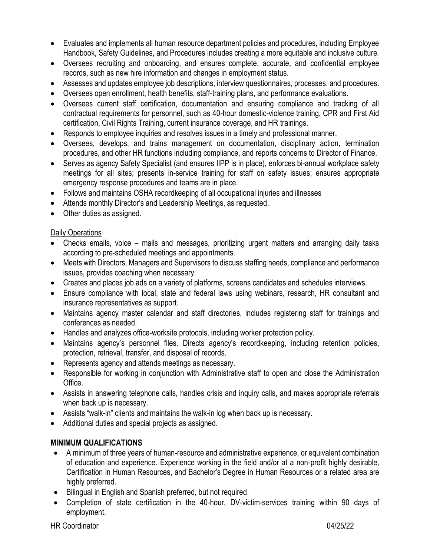- Evaluates and implements all human resource department policies and procedures, including Employee Handbook, Safety Guidelines, and Procedures includes creating a more equitable and inclusive culture.
- Oversees recruiting and onboarding, and ensures complete, accurate, and confidential employee records, such as new hire information and changes in employment status.
- Assesses and updates employee job descriptions, interview questionnaires, processes, and procedures.
- Oversees open enrollment, health benefits, staff-training plans, and performance evaluations.
- Oversees current staff certification, documentation and ensuring compliance and tracking of all contractual requirements for personnel, such as 40-hour domestic-violence training, CPR and First Aid certification, Civil Rights Training, current insurance coverage, and HR trainings.
- Responds to employee inquiries and resolves issues in a timely and professional manner.
- Oversees, develops, and trains management on documentation, disciplinary action, termination procedures, and other HR functions including compliance, and reports concerns to Director of Finance.
- Serves as agency Safety Specialist (and ensures IIPP is in place), enforces bi-annual workplace safety meetings for all sites; presents in-service training for staff on safety issues; ensures appropriate emergency response procedures and teams are in place.
- Follows and maintains OSHA recordkeeping of all occupational injuries and illnesses
- Attends monthly Director's and Leadership Meetings, as requested.
- Other duties as assigned.

## Daily Operations

- Checks emails, voice mails and messages, prioritizing urgent matters and arranging daily tasks according to pre-scheduled meetings and appointments.
- Meets with Directors, Managers and Supervisors to discuss staffing needs, compliance and performance issues, provides coaching when necessary.
- Creates and places job ads on a variety of platforms, screens candidates and schedules interviews.
- Ensure compliance with local, state and federal laws using webinars, research, HR consultant and insurance representatives as support.
- Maintains agency master calendar and staff directories, includes registering staff for trainings and conferences as needed.
- Handles and analyzes office-worksite protocols, including worker protection policy.
- Maintains agency's personnel files. Directs agency's recordkeeping, including retention policies, protection, retrieval, transfer, and disposal of records.
- Represents agency and attends meetings as necessary.
- Responsible for working in conjunction with Administrative staff to open and close the Administration Office.
- Assists in answering telephone calls, handles crisis and inquiry calls, and makes appropriate referrals when back up is necessary.
- Assists "walk-in" clients and maintains the walk-in log when back up is necessary.
- Additional duties and special projects as assigned.

# **MINIMUM QUALIFICATIONS**

- A minimum of three years of human-resource and administrative experience, or equivalent combination of education and experience. Experience working in the field and/or at a non-profit highly desirable, Certification in Human Resources, and Bachelor's Degree in Human Resources or a related area are highly preferred.
- Bilingual in English and Spanish preferred, but not required.
- Completion of state certification in the 40-hour, DV-victim-services training within 90 days of employment.